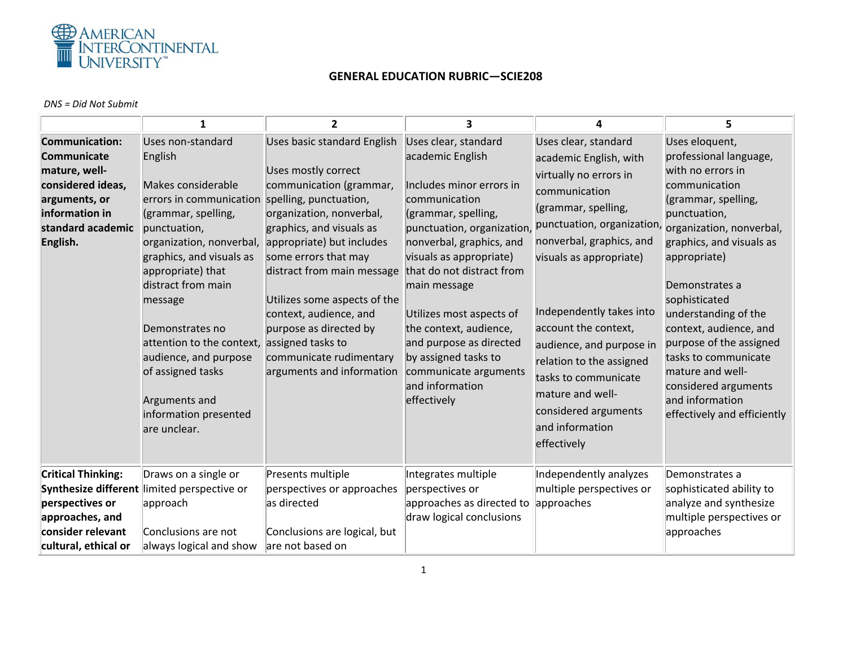

## **GENERAL EDUCATION RUBRIC—SCIE208**

## *DNS = Did Not Submit*

|                                                                                                                                                       | 1                                                                                                                                                                                                                                                                                                                                                                                          | $\overline{2}$                                                                                                                                                                                                                                                                                                                                                                                                      | 3                                                                                                                                                                                                                                                                                                                                                                                                                  | 4                                                                                                                                                                                                                                                                                                                                                                                                                       | 5                                                                                                                                                                                                                                                                                                                                                                                                                                   |
|-------------------------------------------------------------------------------------------------------------------------------------------------------|--------------------------------------------------------------------------------------------------------------------------------------------------------------------------------------------------------------------------------------------------------------------------------------------------------------------------------------------------------------------------------------------|---------------------------------------------------------------------------------------------------------------------------------------------------------------------------------------------------------------------------------------------------------------------------------------------------------------------------------------------------------------------------------------------------------------------|--------------------------------------------------------------------------------------------------------------------------------------------------------------------------------------------------------------------------------------------------------------------------------------------------------------------------------------------------------------------------------------------------------------------|-------------------------------------------------------------------------------------------------------------------------------------------------------------------------------------------------------------------------------------------------------------------------------------------------------------------------------------------------------------------------------------------------------------------------|-------------------------------------------------------------------------------------------------------------------------------------------------------------------------------------------------------------------------------------------------------------------------------------------------------------------------------------------------------------------------------------------------------------------------------------|
| <b>Communication:</b><br><b>Communicate</b><br>mature, well-<br>considered ideas,<br>arguments, or<br>information in<br>standard academic<br>English. | Uses non-standard<br>English<br>Makes considerable<br>errors in communication<br>(grammar, spelling,<br>punctuation,<br>organization, nonverbal,<br>graphics, and visuals as<br>appropriate) that<br>distract from main<br>message<br>Demonstrates no<br>attention to the context,<br>audience, and purpose<br>of assigned tasks<br>Arguments and<br>information presented<br>are unclear. | Uses basic standard English<br>Uses mostly correct<br>communication (grammar,<br>spelling, punctuation,<br>organization, nonverbal,<br>graphics, and visuals as<br>appropriate) but includes<br>some errors that may<br>distract from main message<br>Utilizes some aspects of the<br>context, audience, and<br>purpose as directed by<br>assigned tasks to<br>communicate rudimentary<br>arguments and information | Uses clear, standard<br>academic English<br>Includes minor errors in<br>communication<br>(grammar, spelling,<br>punctuation, organization,<br>nonverbal, graphics, and<br>visuals as appropriate)<br>that do not distract from<br>main message<br>Utilizes most aspects of<br>the context, audience,<br>and purpose as directed<br>by assigned tasks to<br>communicate arguments<br>and information<br>effectively | Uses clear, standard<br>academic English, with<br>virtually no errors in<br>communication<br>(grammar, spelling,<br>punctuation, organization,<br>nonverbal, graphics, and<br>visuals as appropriate)<br>Independently takes into<br>account the context,<br>audience, and purpose in<br>relation to the assigned<br>tasks to communicate<br>mature and well-<br>considered arguments<br>and information<br>effectively | Uses eloquent,<br>professional language,<br>with no errors in<br>communication<br>(grammar, spelling,<br>punctuation,<br>organization, nonverbal,<br>graphics, and visuals as<br>appropriate)<br>Demonstrates a<br>sophisticated<br>understanding of the<br>context, audience, and<br>purpose of the assigned<br>tasks to communicate<br>mature and well-<br>considered arguments<br>and information<br>effectively and efficiently |
| <b>Critical Thinking:</b><br>Synthesize different<br>perspectives or<br>approaches, and<br>consider relevant<br>cultural, ethical or                  | Draws on a single or<br>limited perspective or<br>approach<br>Conclusions are not<br>always logical and show                                                                                                                                                                                                                                                                               | Presents multiple<br>perspectives or approaches<br>as directed<br>Conclusions are logical, but<br>are not based on                                                                                                                                                                                                                                                                                                  | Integrates multiple<br>perspectives or<br>approaches as directed to<br>draw logical conclusions                                                                                                                                                                                                                                                                                                                    | Independently analyzes<br>multiple perspectives or<br>approaches                                                                                                                                                                                                                                                                                                                                                        | Demonstrates a<br>sophisticated ability to<br>analyze and synthesize<br>multiple perspectives or<br>approaches                                                                                                                                                                                                                                                                                                                      |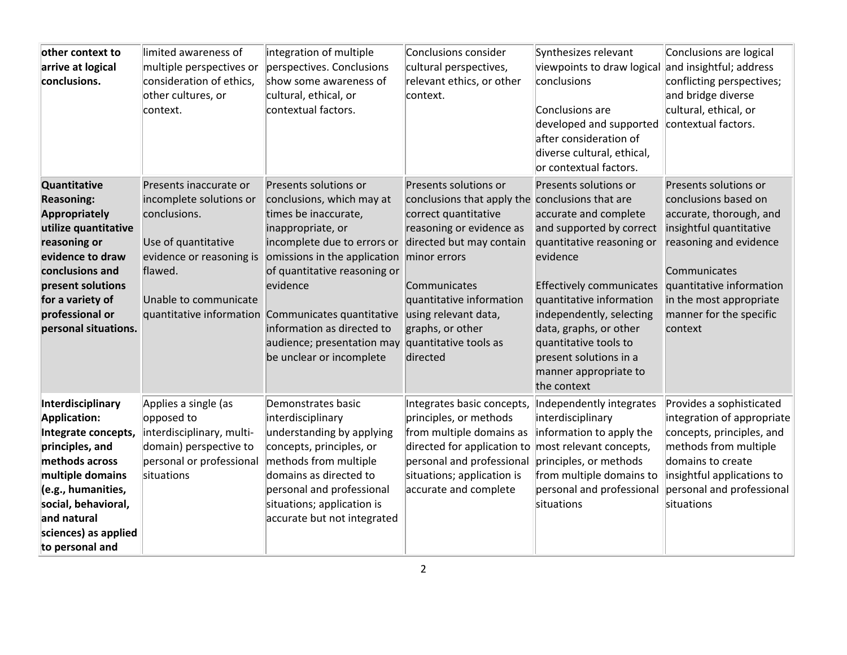| other context to<br>arrive at logical<br>conclusions.                                                                                                                                                                        | limited awareness of<br>multiple perspectives or<br>consideration of ethics,<br>other cultures, or<br>context.                                           | integration of multiple<br>perspectives. Conclusions<br>show some awareness of<br>cultural, ethical, or<br>contextual factors.                                                                                                                                                                                                                           | Conclusions consider<br>cultural perspectives,<br>relevant ethics, or other<br>context.                                                                                                                                                                                                               | Synthesizes relevant<br>viewpoints to draw logical<br>conclusions<br>Conclusions are<br>developed and supported<br>after consideration of<br>diverse cultural, ethical,<br>or contextual factors.                                                                                                                                   | Conclusions are logical<br>and insightful; address<br>conflicting perspectives;<br>and bridge diverse<br>cultural, ethical, or<br>contextual factors.                                                                                      |
|------------------------------------------------------------------------------------------------------------------------------------------------------------------------------------------------------------------------------|----------------------------------------------------------------------------------------------------------------------------------------------------------|----------------------------------------------------------------------------------------------------------------------------------------------------------------------------------------------------------------------------------------------------------------------------------------------------------------------------------------------------------|-------------------------------------------------------------------------------------------------------------------------------------------------------------------------------------------------------------------------------------------------------------------------------------------------------|-------------------------------------------------------------------------------------------------------------------------------------------------------------------------------------------------------------------------------------------------------------------------------------------------------------------------------------|--------------------------------------------------------------------------------------------------------------------------------------------------------------------------------------------------------------------------------------------|
| Quantitative<br><b>Reasoning:</b><br><b>Appropriately</b><br>utilize quantitative<br>reasoning or<br>evidence to draw<br>conclusions and<br>present solutions<br>for a variety of<br>professional or<br>personal situations. | Presents inaccurate or<br>incomplete solutions or<br>conclusions.<br>Use of quantitative<br>evidence or reasoning is<br>flawed.<br>Unable to communicate | Presents solutions or<br>conclusions, which may at<br>times be inaccurate,<br>inappropriate, or<br>incomplete due to errors or<br>omissions in the application<br>of quantitative reasoning or<br>evidence<br>quantitative information Communicates quantitative<br>information as directed to<br>audience; presentation may<br>be unclear or incomplete | Presents solutions or<br>conclusions that apply the conclusions that are<br>correct quantitative<br>reasoning or evidence as<br>directed but may contain<br>minor errors<br>Communicates<br>quantitative information<br>using relevant data,<br>graphs, or other<br>quantitative tools as<br>directed | Presents solutions or<br>accurate and complete<br>and supported by correct<br>quantitative reasoning or<br>evidence<br><b>Effectively communicates</b><br>quantitative information<br>independently, selecting<br>data, graphs, or other<br>quantitative tools to<br>present solutions in a<br>manner appropriate to<br>the context | Presents solutions or<br>conclusions based on<br>accurate, thorough, and<br>insightful quantitative<br>reasoning and evidence<br>Communicates<br>quantitative information<br>in the most appropriate<br>manner for the specific<br>context |
| Interdisciplinary<br>Application:<br>Integrate concepts,<br>principles, and<br>methods across<br>multiple domains<br>(e.g., humanities,<br>social, behavioral,<br>and natural<br>sciences) as applied<br>to personal and     | Applies a single (as<br>opposed to<br>interdisciplinary, multi-<br>domain) perspective to<br>personal or professional<br>situations                      | Demonstrates basic<br>interdisciplinary<br>understanding by applying<br>concepts, principles, or<br>methods from multiple<br>domains as directed to<br>personal and professional<br>situations; application is<br>accurate but not integrated                                                                                                            | Integrates basic concepts,<br>principles, or methods<br>from multiple domains as<br>directed for application to most relevant concepts,<br>personal and professional<br>situations; application is<br>accurate and complete                                                                           | Independently integrates<br>interdisciplinary<br>information to apply the<br>principles, or methods<br>from multiple domains to<br>personal and professional<br>situations                                                                                                                                                          | Provides a sophisticated<br>integration of appropriate<br>concepts, principles, and<br>methods from multiple<br>domains to create<br>insightful applications to<br>personal and professional<br>situations                                 |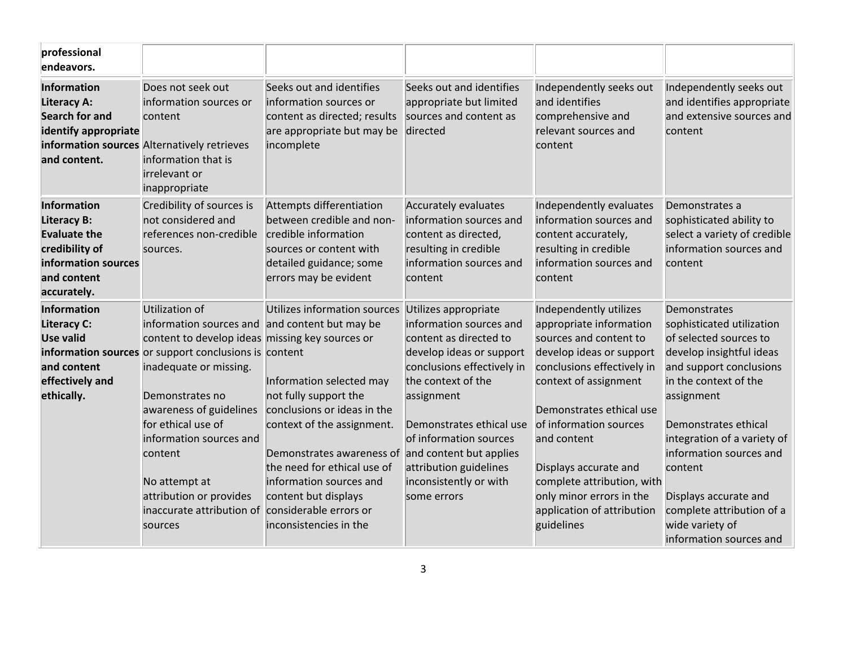| professional<br>endeavors.                                                                                                             |                                                                                                                                                                                                                                                                                                                                                                                                      |                                                                                                                                                                                                                                                                                                                                           |                                                                                                                                                                                                                                                                                                  |                                                                                                                                                                                                                                                                                                                                                                    |                                                                                                                                                                                                                                                                                                                                                                    |
|----------------------------------------------------------------------------------------------------------------------------------------|------------------------------------------------------------------------------------------------------------------------------------------------------------------------------------------------------------------------------------------------------------------------------------------------------------------------------------------------------------------------------------------------------|-------------------------------------------------------------------------------------------------------------------------------------------------------------------------------------------------------------------------------------------------------------------------------------------------------------------------------------------|--------------------------------------------------------------------------------------------------------------------------------------------------------------------------------------------------------------------------------------------------------------------------------------------------|--------------------------------------------------------------------------------------------------------------------------------------------------------------------------------------------------------------------------------------------------------------------------------------------------------------------------------------------------------------------|--------------------------------------------------------------------------------------------------------------------------------------------------------------------------------------------------------------------------------------------------------------------------------------------------------------------------------------------------------------------|
| Information<br><b>Literacy A:</b><br><b>Search for and</b><br>identify appropriate<br>and content.                                     | Does not seek out<br>information sources or<br>content<br>information sources Alternatively retrieves<br>information that is<br>irrelevant or<br>inappropriate                                                                                                                                                                                                                                       | Seeks out and identifies<br>information sources or<br>content as directed; results<br>are appropriate but may be<br>incomplete                                                                                                                                                                                                            | Seeks out and identifies<br>appropriate but limited<br>sources and content as<br>directed                                                                                                                                                                                                        | Independently seeks out<br>and identifies<br>comprehensive and<br>relevant sources and<br>content                                                                                                                                                                                                                                                                  | Independently seeks out<br>and identifies appropriate<br>and extensive sources and<br>content                                                                                                                                                                                                                                                                      |
| <b>Information</b><br><b>Literacy B:</b><br><b>Evaluate the</b><br>credibility of<br>information sources<br>and content<br>accurately. | Credibility of sources is<br>not considered and<br>references non-credible<br>sources.                                                                                                                                                                                                                                                                                                               | Attempts differentiation<br>between credible and non-<br>credible information<br>sources or content with<br>detailed guidance; some<br>errors may be evident                                                                                                                                                                              | <b>Accurately evaluates</b><br>information sources and<br>content as directed,<br>resulting in credible<br>information sources and<br>content                                                                                                                                                    | Independently evaluates<br>information sources and<br>content accurately,<br>resulting in credible<br>information sources and<br>content                                                                                                                                                                                                                           | Demonstrates a<br>sophisticated ability to<br>select a variety of credible<br>information sources and<br>content                                                                                                                                                                                                                                                   |
| Information<br><b>Literacy C:</b><br><b>Use valid</b><br>and content<br>effectively and<br>ethically.                                  | Utilization of<br>information sources and and content but may be<br>content to develop ideas missing key sources or<br>information sources or support conclusions is content<br>inadequate or missing.<br>Demonstrates no<br>awareness of guidelines<br>for ethical use of<br>information sources and<br>content<br>No attempt at<br>attribution or provides<br>inaccurate attribution of<br>sources | Utilizes information sources<br>Information selected may<br>not fully support the<br>conclusions or ideas in the<br>context of the assignment.<br>Demonstrates awareness of and content but applies<br>the need for ethical use of<br>information sources and<br>content but displays<br>considerable errors or<br>inconsistencies in the | Utilizes appropriate<br>information sources and<br>content as directed to<br>develop ideas or support<br>conclusions effectively in<br>the context of the<br>assignment<br>Demonstrates ethical use<br>of information sources<br>attribution guidelines<br>inconsistently or with<br>some errors | Independently utilizes<br>appropriate information<br>sources and content to<br>develop ideas or support<br>conclusions effectively in<br>context of assignment<br>Demonstrates ethical use<br>of information sources<br>and content<br>Displays accurate and<br>complete attribution, with<br>only minor errors in the<br>application of attribution<br>guidelines | Demonstrates<br>sophisticated utilization<br>of selected sources to<br>develop insightful ideas<br>and support conclusions<br>in the context of the<br>assignment<br>Demonstrates ethical<br>integration of a variety of<br>information sources and<br>content<br>Displays accurate and<br>complete attribution of a<br>wide variety of<br>information sources and |